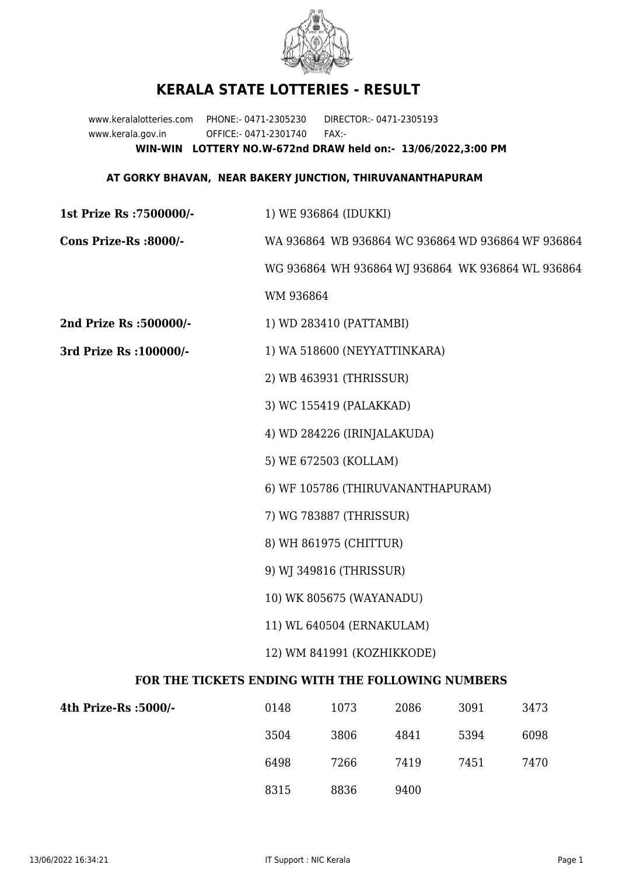

## **KERALA STATE LOTTERIES - RESULT**

www.keralalotteries.com PHONE:- 0471-2305230 DIRECTOR:- 0471-2305193 www.kerala.gov.in OFFICE:- 0471-2301740 FAX:- **WIN-WIN LOTTERY NO.W-672nd DRAW held on:- 13/06/2022,3:00 PM**

## **AT GORKY BHAVAN, NEAR BAKERY JUNCTION, THIRUVANANTHAPURAM**

**1st Prize Rs :7500000/-** 1) WE 936864 (IDUKKI) **Cons Prize-Rs :8000/-** WA 936864 WB 936864 WC 936864 WD 936864 WF 936864 WG 936864 WH 936864 WJ 936864 WK 936864 WL 936864 WM 936864 **2nd Prize Rs :500000/-** 1) WD 283410 (PATTAMBI) **3rd Prize Rs :100000/-** 1) WA 518600 (NEYYATTINKARA) 2) WB 463931 (THRISSUR) 3) WC 155419 (PALAKKAD) 4) WD 284226 (IRINJALAKUDA) 5) WE 672503 (KOLLAM) 6) WF 105786 (THIRUVANANTHAPURAM) 7) WG 783887 (THRISSUR) 8) WH 861975 (CHITTUR) 9) WJ 349816 (THRISSUR) 10) WK 805675 (WAYANADU) 11) WL 640504 (ERNAKULAM) 12) WM 841991 (KOZHIKKODE) **FOR THE TICKETS ENDING WITH THE FOLLOWING NUMBERS**

| 4th Prize-Rs : 5000/- | 0148 | 1073 | 2086 | 3091 | 3473 |
|-----------------------|------|------|------|------|------|
|                       | 3504 | 3806 | 4841 | 5394 | 6098 |
|                       | 6498 | 7266 | 7419 | 7451 | 7470 |
|                       | 8315 | 8836 | 9400 |      |      |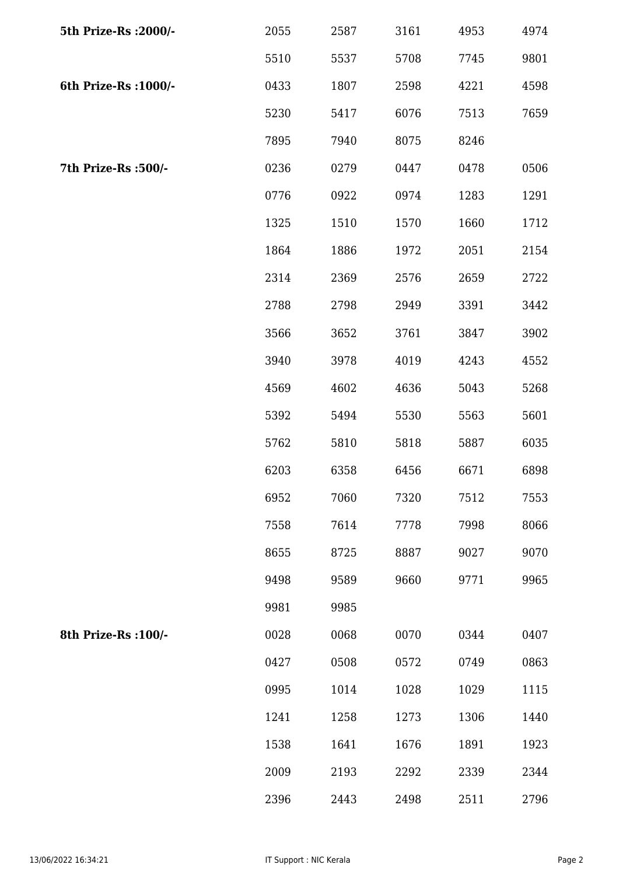| 5th Prize-Rs : 2000/- | 2055 | 2587 | 3161 | 4953 | 4974 |
|-----------------------|------|------|------|------|------|
|                       | 5510 | 5537 | 5708 | 7745 | 9801 |
| 6th Prize-Rs : 1000/- | 0433 | 1807 | 2598 | 4221 | 4598 |
|                       | 5230 | 5417 | 6076 | 7513 | 7659 |
|                       | 7895 | 7940 | 8075 | 8246 |      |
| 7th Prize-Rs :500/-   | 0236 | 0279 | 0447 | 0478 | 0506 |
|                       | 0776 | 0922 | 0974 | 1283 | 1291 |
|                       | 1325 | 1510 | 1570 | 1660 | 1712 |
|                       | 1864 | 1886 | 1972 | 2051 | 2154 |
|                       | 2314 | 2369 | 2576 | 2659 | 2722 |
|                       | 2788 | 2798 | 2949 | 3391 | 3442 |
|                       | 3566 | 3652 | 3761 | 3847 | 3902 |
|                       | 3940 | 3978 | 4019 | 4243 | 4552 |
|                       | 4569 | 4602 | 4636 | 5043 | 5268 |
|                       | 5392 | 5494 | 5530 | 5563 | 5601 |
|                       | 5762 | 5810 | 5818 | 5887 | 6035 |
|                       | 6203 | 6358 | 6456 | 6671 | 6898 |
|                       | 6952 | 7060 | 7320 | 7512 | 7553 |
|                       | 7558 | 7614 | 7778 | 7998 | 8066 |
|                       | 8655 | 8725 | 8887 | 9027 | 9070 |
|                       | 9498 | 9589 | 9660 | 9771 | 9965 |
|                       | 9981 | 9985 |      |      |      |
| 8th Prize-Rs : 100/-  | 0028 | 0068 | 0070 | 0344 | 0407 |
|                       | 0427 | 0508 | 0572 | 0749 | 0863 |
|                       | 0995 | 1014 | 1028 | 1029 | 1115 |
|                       | 1241 | 1258 | 1273 | 1306 | 1440 |
|                       | 1538 | 1641 | 1676 | 1891 | 1923 |
|                       | 2009 | 2193 | 2292 | 2339 | 2344 |
|                       | 2396 | 2443 | 2498 | 2511 | 2796 |